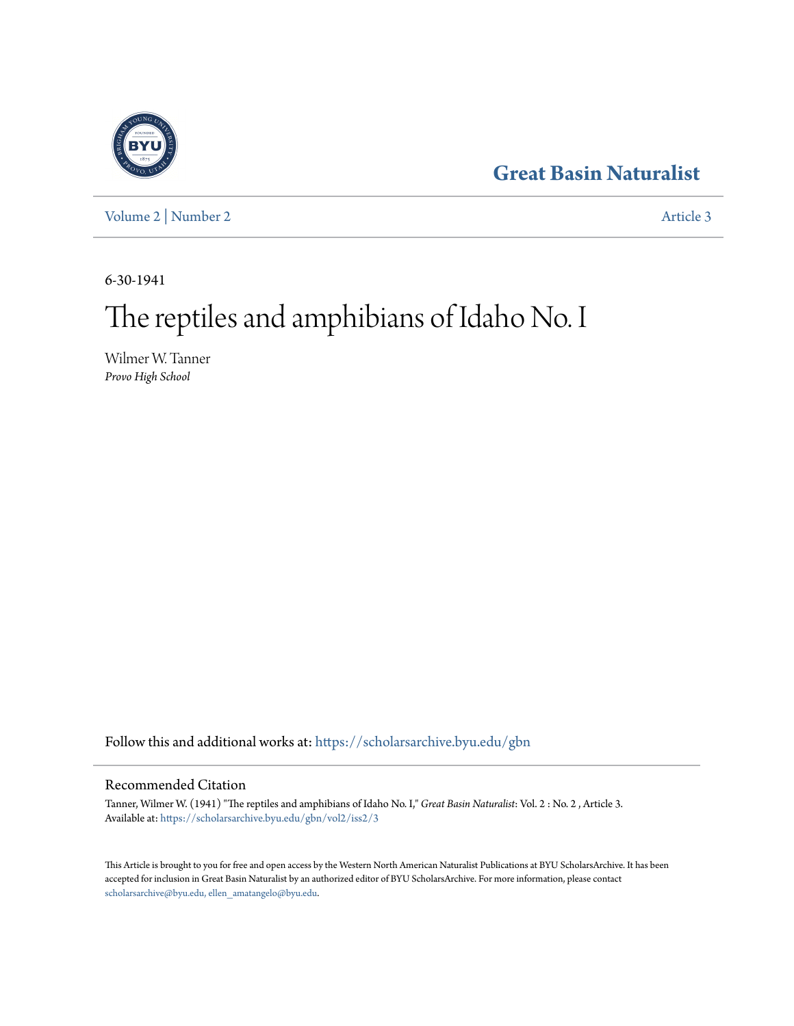# **[Great Basin Naturalist](https://scholarsarchive.byu.edu/gbn?utm_source=scholarsarchive.byu.edu%2Fgbn%2Fvol2%2Fiss2%2F3&utm_medium=PDF&utm_campaign=PDFCoverPages)**



[Volume 2](https://scholarsarchive.byu.edu/gbn/vol2?utm_source=scholarsarchive.byu.edu%2Fgbn%2Fvol2%2Fiss2%2F3&utm_medium=PDF&utm_campaign=PDFCoverPages) | [Number 2](https://scholarsarchive.byu.edu/gbn/vol2/iss2?utm_source=scholarsarchive.byu.edu%2Fgbn%2Fvol2%2Fiss2%2F3&utm_medium=PDF&utm_campaign=PDFCoverPages) [Article 3](https://scholarsarchive.byu.edu/gbn/vol2/iss2/3?utm_source=scholarsarchive.byu.edu%2Fgbn%2Fvol2%2Fiss2%2F3&utm_medium=PDF&utm_campaign=PDFCoverPages)

6-30-1941

# The reptiles and amphibians of Idaho No. I

Wilmer W. Tanner *Provo High School*

Follow this and additional works at: [https://scholarsarchive.byu.edu/gbn](https://scholarsarchive.byu.edu/gbn?utm_source=scholarsarchive.byu.edu%2Fgbn%2Fvol2%2Fiss2%2F3&utm_medium=PDF&utm_campaign=PDFCoverPages)

## Recommended Citation

Tanner, Wilmer W. (1941) "The reptiles and amphibians of Idaho No. I," *Great Basin Naturalist*: Vol. 2 : No. 2 , Article 3. Available at: [https://scholarsarchive.byu.edu/gbn/vol2/iss2/3](https://scholarsarchive.byu.edu/gbn/vol2/iss2/3?utm_source=scholarsarchive.byu.edu%2Fgbn%2Fvol2%2Fiss2%2F3&utm_medium=PDF&utm_campaign=PDFCoverPages)

This Article is brought to you for free and open access by the Western North American Naturalist Publications at BYU ScholarsArchive. It has been accepted for inclusion in Great Basin Naturalist by an authorized editor of BYU ScholarsArchive. For more information, please contact [scholarsarchive@byu.edu, ellen\\_amatangelo@byu.edu.](mailto:scholarsarchive@byu.edu,%20ellen_amatangelo@byu.edu)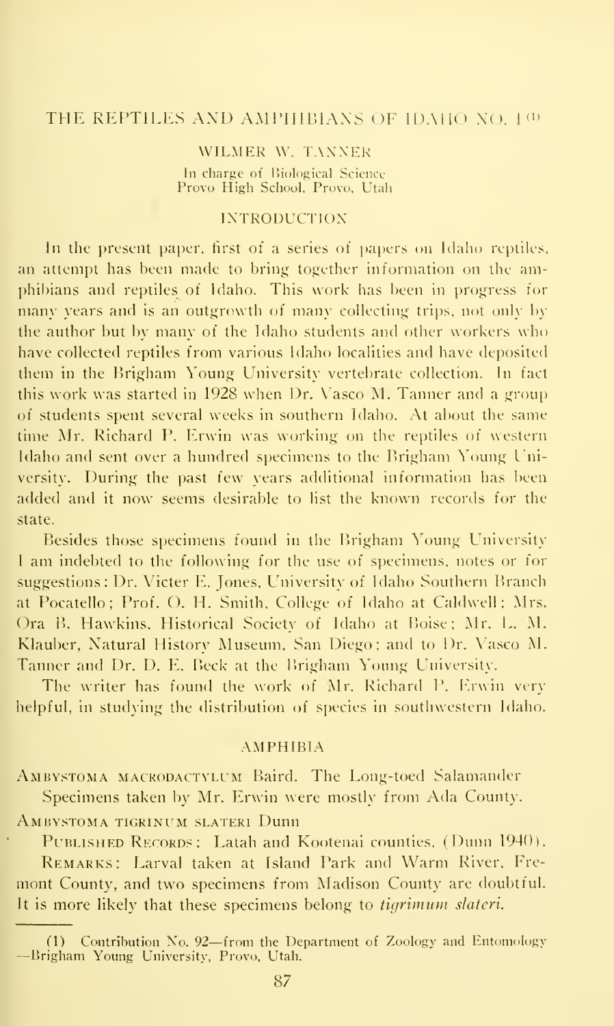# THE REPTILES AND AMPIIIBIANS OF IDAHO NO.  $1^{(1)}$

## WILMER W. TANNER

In charge of Biological Scieuce Provo High School, Provo, Utah

## INTRODUCTION

In the present paper, first of a series of papers on Idaho reptiles, an attempt has been made to bring together information on the am phibians and reptiles of Idaho. This work has been in progress for many years and is an outgrowth of many collecting trips, not only by the author but by many of the Idaho students and other workers who have collected reptiles from various Idaho localities and have deposited them in the Hrigham Young University vertebrate collection. In fact this work was started in 1928 when Dr. Vasco M. Tanner and a group of students spent several weeks in southern Idaho. At about the same time Mr. Richard P. Erwin was working on the reptiles of western Idaho and sent over a hundred specimens to the Brigham Young University. During the past few years additional information has been added and it now seems desirable to list the known records for the state.

Besides those specimens found in the Brigham Young University <sup>I</sup> am indebted to the following for the use of specimens, notes or for suggestions : Dr. Victer E. Jones, University of Idaho Southern Branch at Pocatello; Prof. O. H. Smith, College of Idaho at Caldwell; Mrs. Ora B. Hawkins, Historical Society of Idaho at Boise; Mr. L. M. Klauber, Natural History Museum, San Diego; and to Dr. Vasco M. Tanner and Dr. D. E. Beck at the Brigham Young University.

The writer has found the work of Mr. Richard P. Erwin very helpful, in studying the distribution of species in southwestern Idaho.

#### AMPHIBIA

Ambystoma mackodactylum Baird. The Long-toed Salamander Specimens taken by Mr. Erwin were mostly from Ada County.

Ambystoma tigrinum slateri Dunn

PUBLISHED RECORDS: Latah and Kootenai counties, (Dunn 1940). Remarks : Larval taken at Island Park and Warm River, Fre-

mont County, and two specimens from Madison County are doubtful. It is more likely that these specimens belong to *tigrimum slateri*.

<sup>(1)</sup> Contribution No. <sup>92</sup>—from the Department of Zoology and Entomology -Brigham Young University, Provo, Utah.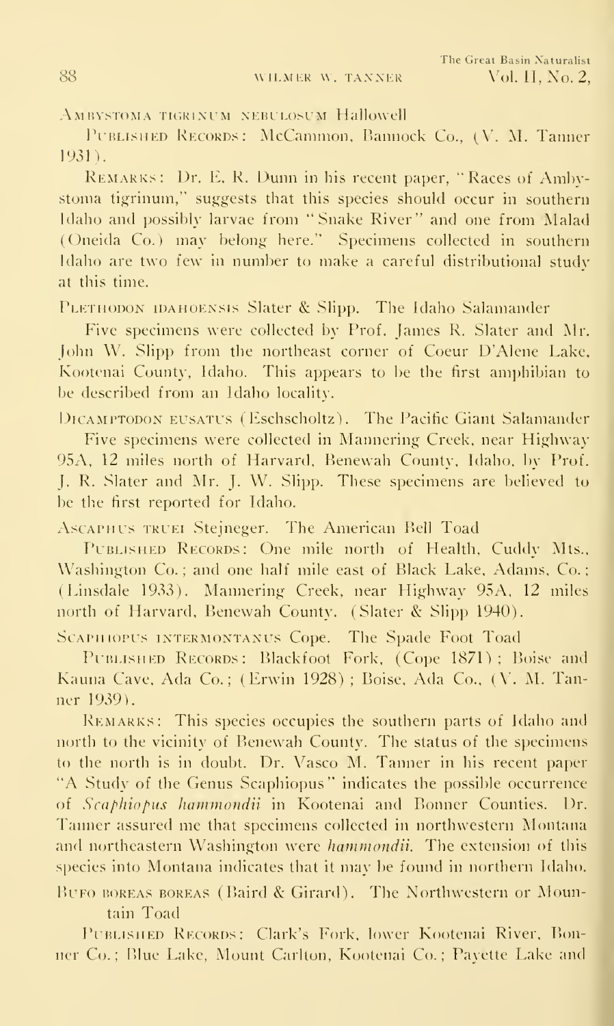AMBYSTOMA TIGRINUM NEBULOSUM Hallowell

PUBLISHED RECORDS: McCammon, Bannock Co., (V. M. Tanner 1931).

REMARKS: Dr. E. R. Dunn in his recent paper, "Races of Ambystoma tigrinum." suggests that this species should occur in southern Idaho and possibly larvae from "Snake River" and one from Malad ( (Jneida Co.) may belong here." Specimens collected in southern Idaho are two few in number to make a careful distributional study at this time.

PLETHODON IDAHOENSIS Slater & Slipp. The Idaho Salamander

Five specimens were collected by Prof. James R. Slater and Mr. John W. Slipp from the northeast corner of Coeur D'Alene Lake, Kootenai County, Idaho. This appears to be the first amphibian to be described from an Idaho locality.

DICAMPTODON EUSATUS (Eschscholtz). The Pacific Giant Salamander

Five specimens were collected in Mannering Creek, near Highway 95A, 12 miles north of Harvard, Benewah County, Idaho, by Prof. J. R. Slater and Mr. J. W. Slipp. These specimens are believed to be the first reported for Idaho.

AscAPHUS TRUEi Stcjneger. The American Bell Toad

PUBLISHED RECORDS: One mile north of Health, Cuddy Mts., Washington Co.; and one half mile east of Black Lake, Adams, Co.; ( Linsdale 1933). Mannering Creek, near Highway 95A. 12 miles north of Harvard, Benewah County. (Slater & Slipp 1940).

SCAPHIOPUS INTERMONTANUS Cope. The Spade Foot Toad

PUBLISHED RECORDS: Blackfoot Fork, (Cope 1871); Boise and Kauna Cave. Ada Co.; (Erwin 1928) ; Boise, Ada Co., (V. M. Tanner 1939).

Remarks: This species occupies the southern parts of Idaho and north to the vicinity of Benewah County. The status of the specimens to the north is in doubt. Dr. Vasco M. Tanner in his recent paper "A Study of the Genus Scaphiopus" indicates the possible occurrence of Scaphiopus hammondii in Kootenai and Bonner Counties. Dr. Tanner assured me that specimens collected in northwestern Montana and northeastern Washington were hammondii. The extension of this species into Montana indicates that it may be found in northern Idaho. BuFO BOREAS BOREAS (Baird & Girard). The Northwestern or Mountain Toad

PUBLISHED RECORDS: Clark's Fork, lower Kootenai River, Bonner Co. ; Blue Lake, Mount Carlton. Kootenai Co. ; Pavette Lake and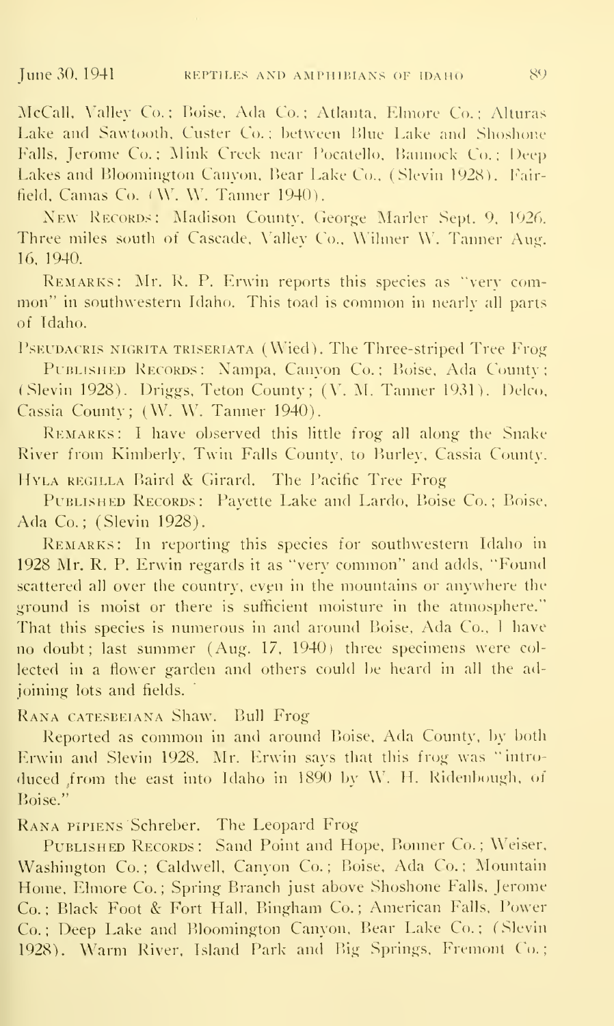McCall, Valley Co.; Boise, Ada Co.; Atlanta, Elmore Co.; Alturas Lake and Sawtooth, Custer Co.; between Blue Lake and Shoshone Falls. Jerome Co.; Mink Creek near I'ocatello, Bannock Co.; Deep Lakes and Bloomington Canyon. Bear Lake Co.. (Slevin 1928). Fairfield. Camas Co.  $(W, W,$  Tanner 1940).

New RECORDS: Madison County, George Marler Sept. 9, 1926. Three miles south of Cascade, \'alley Co., Wilmer W. Tanner Aug. 16. 1940.

Remarks: Mr. R. P. Erwin reports this species as "very com mon" in southwestern Idaho. This toad is common in nearly all parts of Idaho.

PSEUDACRIS NIGRITA TRISERIATA (Wied). The Three-striped Tree Frog PUBLISHED RECORDS: Nampa, Canyon Co.; Boise, Ada County; (Slevin 1928). Driggs. Teton County; (V. M. Tanner 1931). Delco. Cassia County; (W. W. Tanner 1940).

REMARKS: I have observed this little frog all along the Snake River from Kimberly, Twin Falls County, to Burley, Cassia County.

HYLA REGILLA Baird & Girard. The Pacific Tree Frog

PUBLISHED RECORDS: Payette Lake and Lardo, Boise Co.; Boise, Ada Co.; (Slevin 1928).

Remarks: In reporting this species for southwestern Idaho in 1928 Mr. R. P. Erwin regards it as "very common" and adds. "Found scattered all over the country, even in the mountains or anywhere the ground is moist or there is sufficient moisture in the atmosphere." That this species is numerous in and around Boise, Ada Co., I have no doubt; last summer (Aug. 17, 1940) three specimens were collected in a flower garden and others could be heard in all the adjoining lots and fields.

Rana catesbeiana Shaw. Bull Frog

Reported as common in and around Boise. Ada County, by both Erwin and Slevin 1928. Mr. Erwin says that this frog was "introduced from the east into Idaho in 1890 by W. H. Ridenbough, of Boise."

RANA PIPIENS Schreber. The Leopard Frog

PUBLISHED RECORDS: Sand Point and Hope, Bonner Co.; Weiser, Washington Co.; Caldwell, Canyon Co.; Boise, Ada Co.; Mountain Home, Elmore Co.; Spring Branch just above Shoshone Falls. Jerome Co. ; Black Foot & Fort Hall, Bingham Co. ; American Falls, Power Co.; Deep Lake and Bloomington Canyon, Bear Lake Co.; (Slevin 1928). Warm River, Island Park and Big Springs, Fremont Co.;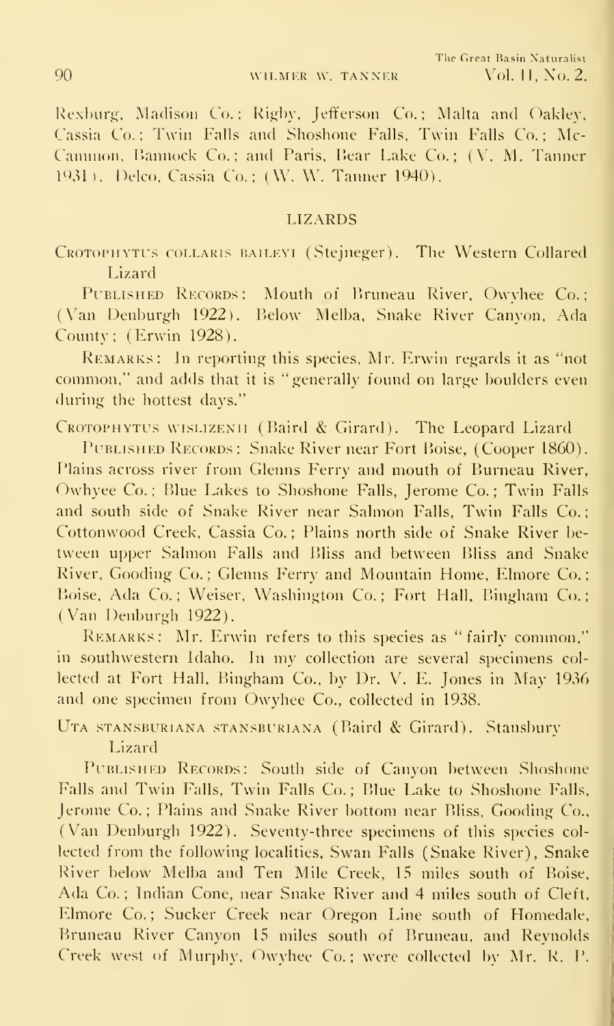Rexburg, Madison Co.; Rigby, Jefferson Co.; Malta and Oakley, Cassia Co.: Twin Falls and Shoshone Falls. Twin Falls Co.: Mc-Cammon, Bannock Co.; and Paris, Bear Lake Co.; (V. M. Tanner) <sup>1931</sup> ).Delco, Cassia Co.; (W. W. Tanner 1940).

#### LIZARDS

CROTOPHYTUS COLLARIS BAILEYI (Stejneger). The Western Collared Lizard

PUBLISHED RECORDS: Mouth of Bruneau River, Owyhee Co.; (Van Denburgh 1922). Below Melba, Snake River Canyon, Ada County; (Erwin 1928).

Remarks: In reporting this species, Mr. Erwin regards it as "not common," and adds that it is "generally found on large boulders even during the hottest days."

CROTOPHYTUS WISLIZENII (Baird & Girard). The Leopard Lizard

PUBLISHED RECORDS: Snake River near Fort Boise, (Cooper 1860). Plains across river from Glenns Ferry and mouth of Burneau River, Owhyee Co.; Blue Lakes to Shoshone Falls, Jerome Co.; Twin Falls and south side of Snake River near Salmon Falls, Twin Falls Co. Cottonwood Creek, Cassia Co.; Plains north side of Snake River between upper Salmon Falls and Bliss and between Bliss and Snake River, Gooding Co.; Glenns Ferry and Mountain Home, Elmore Co.; Boise, Ada Co.; Weiser, Washington Co.; Fort Hall, Bingham Co.; (Van Denburgh 1922).

Remarks: Mr. Erwin refers to this species as "fairly common," in southwestern Idaho. In my collection are several specimens col lected at Fort Hall. Bingham Co.. by Dr. V. E. Jones in May 1936 and one specimen from Owyhee Co., collected in 1938.

Uta stansburiana stansburiana (Baird & Girard). Stansbury Lizard

PUBLISHED RECORDS: South side of Canyon between Shoshone Falls and Twin Falls, Twin Falls Co. ; Blue Lake to Shoshone Falls. Jerome Co. ; Plains and Snake River bottom near Bliss. Gooding Co.. (Van Denburgh 1922). Seventy-three specimens of this species col lected from the following localities. Swan Falls (Snake River), Snake River below Melba and Ten Mile Creek, 15 miles south of Boise. Ada Co.; Indian Cone, near Snake River and 4 miles south of Cleft, Elmore Co.; Sucker Creek near Oregon Line south of Homedale, Bruneau River Canyon 15 miles south of Bruneau, and Reynolds Creek west of Murphy, Owyhee Co.; were collected by Mr. R. P.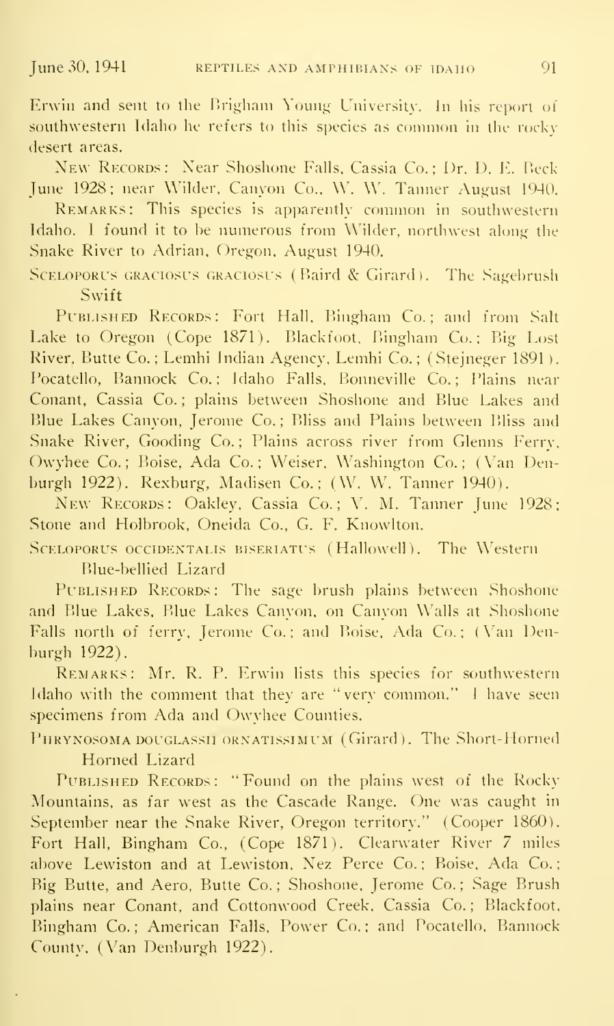Erwin and sent to the Brigham Young University. In his report of southwestern Idaho he refers to this species as common in the rocky desert areas.

New Records: Near Shoshone Falls, Cassia Co.; Dr. D. E. Beck-June 1928; near Wilder, Canyon Co., W. W. Tanner August 1940.

Remarks: This species is apparently common in southwestern Idaho. I found it to be numerous from Wilder, northwest along the Snake River to Adrian, Oregon. August 1940.

SCELOPORUS GRACIOSUS GRACIOSUS (Baird & Girard). The Sagebrush Swift

PUBLISHED RECORDS: Fort Hall, Bingham Co.; and from Salt Lake to Oregon (Cope 1871). Blackfoot, Bingham Co.; Big Lost River, Butte Co. ; Lemhi Indian Agency, Lemhi Co. ; (Stejneger 1891 ). Pocatello, Bannock Co.; Idaho Falls, Bonneville Co.; Plains near Conant, Cassia Co.; plains between Shoshone and Blue Lakes and Blue Lakes Canyon, Jerome Co.; Bliss and Plains between Bliss and Snake River, Gooding Co.; Plains across river from Glenns Ferry, Owyhee Co.; Boise, Ada Co.; Weiser, Washington Co.; (Van Denburgh 1922). Rexburg, Madisen Co.; (W. W. Tanner 1940).

New Records: Oakley, Cassia Co.; V. M. Tanner June 1928; Stone and Holbrook, Oneida Co., G. F. Knowlton.

SCELOPORUS OCCIDENTALIS BISERIATUS (Hallowell). The Western Blue-bellied Lizard

PUBLISHED RECORDS: The sage brush plains between Shoshone and Blue Lakes, Blue Lakes Canyon, on Canyon Walls at Shoshone Falls north of ferry, Jerome Co.; and Boise, Ada Co.; (Van Denburgh 1922).

Remarks: Mr. R. P. Erwin lists this species for southwestern Idaho with the comment that they are "very common." <sup>I</sup> have seen specimens from Ada and Owyhee Counties.

PHRYNOSOMA DOUGLASSII ORNATISSIMUM (Girard). The Short-Horned

Horned Lizard

PUBLISHED RECORDS: "Found on the plains west of the Rocky Mountains, as far west as the Cascade Range. One was caught in September near the Snake River, Oregon territory." (Cooper 1860). Fort Hall, Bingham Co., (Cope 1871). Clearwater River 7 miles above Lewiston and at Lewiston, Nez Perce Co.; Boise, Ada Co.; Big Butte, and Aero, Butte Co.; Shoshone, Jerome Co.; Sage Brush plains near Conant, and Cottonwood Creek, Cassia Co.; Blackfoot, Bingham Co.; American Falls, Power Co.; and Pocatello, Bannock County. (Van Denburgh 1922).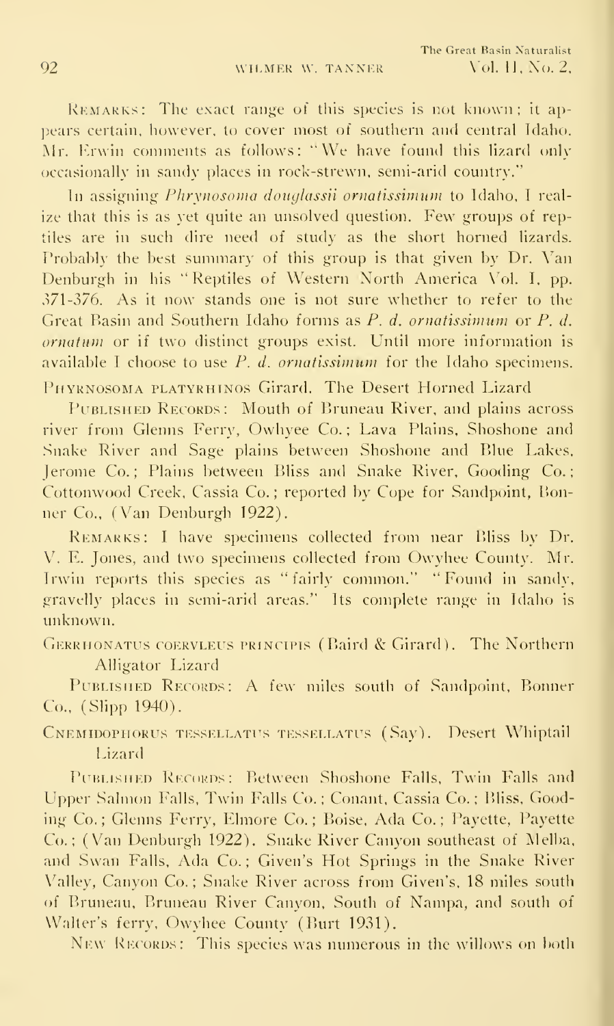REMARKS: The exact range of this species is not known; it appears certain, however, to cover most of southern and central Idaho. Mr. Erwin comments as follows: "We have found this lizard only occasionally in sandy places in rock-strewn, semi-arid country."

In assigning Phrynosoma douglassii ornatissimum to Idaho, I realize that this is as yet quite an unsolved question. Few groups of reptiles are in such dire need of study as the short horned lizards. Probably the best summary of this group is that given by Dr. Van Denburgh in his "Reptiles of Western North America Vol. I. pp. 371-376. As it now stands one is not sure whether to refer to the Great Basin and Southern Idaho forms as P. d. ornatissimum or P. d. ornatum or if two distinct groups exist. Until more information is available I choose to use  $P$ . d. ornatissimum for the Idaho specimens. PHYRNOSOMA PLATYRHINOS Girard. The Desert Horned Lizard

PUBLISHED RECORDS: Mouth of Bruneau River, and plains across river from Glenns Ferry, Owhyee Co.; Lava Plains, Shoshone and .Snake River and Sage plains between Shoshone and Blue Lakes, Jerome Co.; Plains between Bliss and Snake River, Gooding Co.; Cottonwood Creek, Cassia Co. ; reported by Cope for Sandpoint, Bonner Co., (Van Denburgh 1922).

REMARKS: I have specimens collected from near Bliss by Dr. V. F. Jones, and two specimens collected from Owyhee County. Mr. Irwin reports this species as "fairly common." "Found in sandy, gravelly places in semi-arid areas." Its complete range in Idaho is unknown.

GERRHONATUS COERVLEUS PRINCIPIS (Baird & Girard). The Northern Alligator Lizard

PUBLISHED RECORDS: A few miles south of Sandpoint, Bonner Co., (Slipp 1940).

Cnemidophorus tessellatits tessellatus (Say). Desert Whiptail Lizard

PUBLISHED RECORDS: Between Shoshone Falls, Twin Falls and Upper Salmon Falls, Twin Falls Co.; Conant, Cassia Co.; Bliss, Gooding Co.; Glenns Ferry, Elmore Co.; Boise, Ada Co.; Payette, Payette Co. ; (Van Denburgh 1922). Snake River Canyon southeast of Melba, and Swan Falls, Ada Co.; Given's Hot Springs in the Snake River Valley, Canyon Co.; Snake River across from Given's, 18 miles south of Bruneau, Bruneau River Canyon, South of Nampa, and south of Walter's ferry, Owyhee County (Burt 1931).

New Records: This species was numerous in the willows on both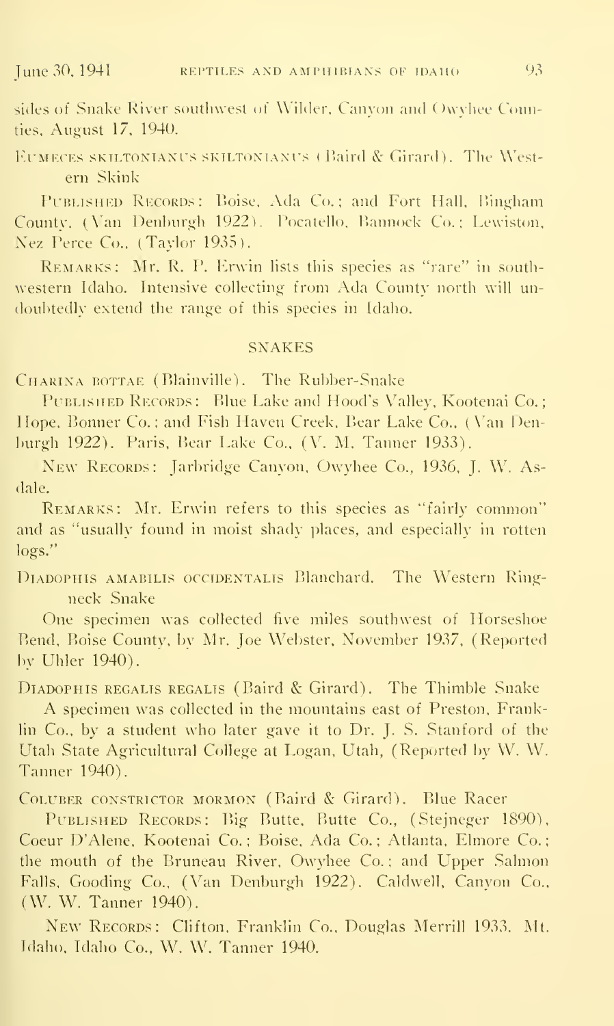sides of Snake River southwest of Wilder, Canyon and Owvhee Connties, August 17, 1940.

EUMECES SKILTONIANUS SKILTONIANUS (Baird & Girard). The Western Skink

PUBLISHED RECORDS: Boise, Ada Co.; and Fort Hall, Bingham County, (Van Denburgh 1922). Pocatello, Bannock Co.; Lewiston, Xez Perce Co.. (Taylor 1935).

Remarks: Mr. R. P. Erwin lists this species as "rare" in south western Idaho. Intensive collecting from Ada County north will undoubtedly extend the range of this species in Idaho.

### **SNAKES**

CHARINA BOTTAE (Blainville). The Rubber-Snake

PUBLISHED RECORDS: Blue Lake and Hood's Valley, Kootenai Co.; Hope. Bonner Co. ; and Fish Haven Creek, Bear Lake Co.. (Van Denburgh 1922). Paris. Bear Lake Co., (V. M. Tanner 1933).

New Records: Jarbridge Canyon, Owyhee Co., 1936, J. W. Asdale.

REMARKS: Mr. Erwin refers to this species as "fairly common" and as "usually found in moist shadv places, and especially in rotten logs."

DIADOPHIS AMABILIS OCCIDENTALIS Blanchard. The Western Ringneck Snake

One specimen was collected five miles southwest of Horseshoe Bend. Boise County, by Mr. Joe Webster, November 1937, (Reported by Uhler 1940).

DIADOPHIS REGALIS REGALIS (Baird & Girard). The Thimble Snake

A specimen was collected in the mountains east of Preston. Franklin Co., by <sup>a</sup> student who later gave it to Dr. J. S. Stanford of the Utah State Agricultural College at Logan. Utah, (Reported by W. W. Tanner 1940).

Coluber constrictor mormon (Baird & Girard). Blue Racer

PUBLISHED RECORDS: Big Butte, Butte Co., (Stejneger 1890), Coeur D'Alene. Kootenai Co. ; Boise, Ada Co. ; Atlanta. Elmore Co. the mouth of the Bruneau River, Owyhee Co.; and Upper Salmon Falls, Gooding Co., (Van Denburgh 1922). Caldwell, Canyon Co.. (W. W. Tanner 1940).

New Records: Clifton, Franklin Co., Douglas Merrill 1933. Mt. Idaho, Idaho Co., W. W. Tanner 1940.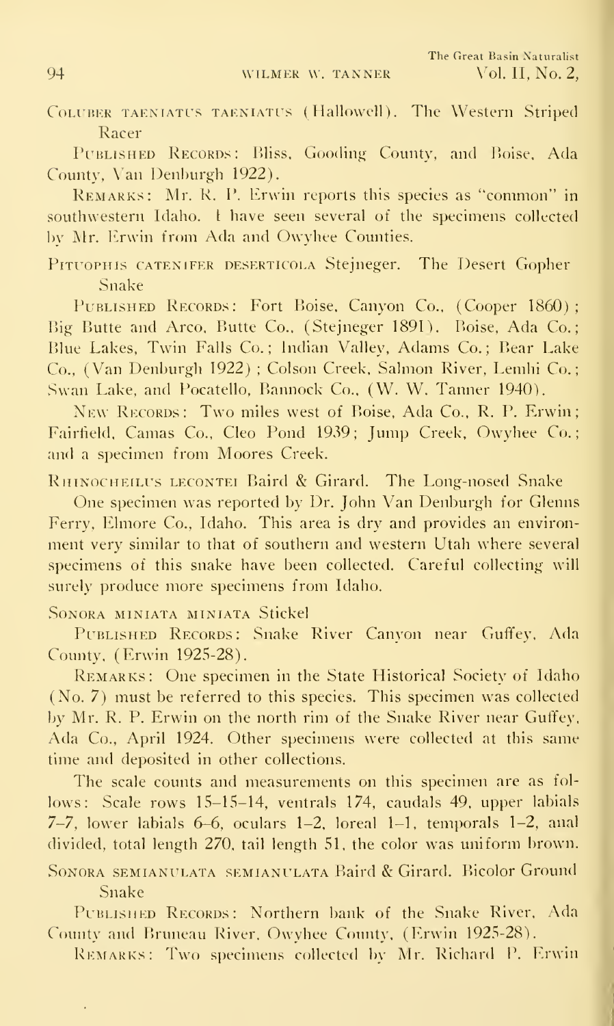COLUBER TAENIATUS TAENIATUS (Hallowell). The Western Striped Racer

PUBLISHED RECORDS: Bliss, Gooding County, and Boise, Ada County, Van Denburgh 1922).

Remarks: Mr. R. P. Erwin reports this species as "common" in southwestern Idaho. <sup>I</sup> have seen several of the specimens collected l)v Mr. Erwin from Ada and Owyhee Counties.

PITUOPHIS CATENIFER DESERTICOLA Stejneger. The Desert Gopher Snake

PUBLISHED RECORDS: Fort Boise, Canyon Co., (Cooper 1860); Big Butte and Arco, Butte Co., (Stejneger 1891). Boise, Ada Co.; Blue Lakes, Twin Falls Co.; Indian Valley, Adams Co.; Bear Lake Co., (Van Denburgh 1922) ; Colson Creek, Salmon River, Lemhi Co.; .Swan Lake, and Pocatello, Bannock Co., (W. W. Tanner 1940).

New RECORDS: Two miles west of Boise, Ada Co., R. P. Erwin; Fairfield. Camas Co., Cleo Pond 1939; Jump Creek, Owyhee Co.; and a specimen from Moores Creek.

RHINOCHEILUS LECONTEI Baird & Girard. The Long-nosed Snake

One specimen was reported by Dr. John Van Denburgh for Glenns Ferry, Elmore Co., Idaho. This area is dry and provides an environment very similar to that of southern and western Utah where several specimens of this snake have been collected. Careful collecting will surely produce more specimens from Idaho.

Sonora miniata miniata Stickel

PUBLISHED RECORDS: Snake River Canyon near Guffey, Ada County, (Erwin 1925-28).

Remarks: One specimen in the State Historical Society of Idaho (No. 7) must be referred to this species. This specimen was collected by Mr, R. P. Erwin on the north rim of the Snake River near Guffey, Ada Co., April 1924. Other specimens were collected at this same time and deposited in other collections.

The scale counts and measurements on this specimen are as fol lows: Scale rows 15-15-14, ventrals 174, caudals 49. upper labials 7-7, lower labials 6-6, oculars 1-2, loreal 1-1. temporals 1-2, anal divided, total length 270, tail length 51, the color was uniform brown.

Sonora semianulata semianulata Baird & Girard. Bicolor Ground Snake

PUBLISHED RECORDS: Northern bank of the Snake River, Ada County and Bruneau River. Owyhee County. (Erwin 1925-28).

REMARKS: Two specimens collected by Mr. Richard P. Erwin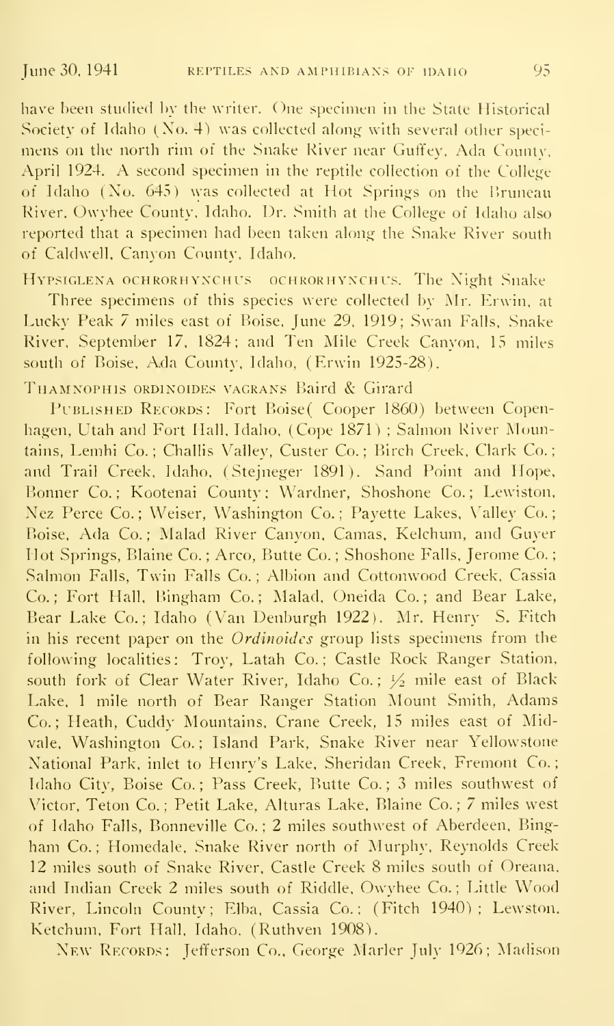have been studied by the writer. One specimen in the State Historical Society of Idaho (Xo. 4) was collected along with several other speci mens on the north rim of the Snake River near Guffey. Ada County. April 1924. A second specimen in the reptile collection of the College of Idaho (No. 645) was collected at Hot Springs on the Bruneau River. Owyhee County. Idaho. Dr. Smith at the College of Idaho also reported that a specimen had been taken along the Snake River south of Caldwell. Canyon County. Idaho.

Hypsiglena ochrorhynchus ochrorhynchus. The Night Snake

Three specimens of this species were collected by Mr. Erwin. at Lucky Peak 7 miles east of Boise. June 29. 1919; Swan Falls. Snake River. September 17. 1824; and Ten Mile Creek Canyon, 15 miles south of Boise, Ada County, Idaho, (Erwin 1925-28).

THAMNOPHIS ORDINOIDES VAGRANS Baird & Girard

PUBLISHED RECORDS: Fort Boise( Cooper 1860) between Copenhagen, Utah and Fort Hall. Idaho, (Cope 1871) ; Salmon River Mountains, Lemhi Co.; Challis Valley, Custer Co.; Birch Creek, Clark Co.; and Trail Creek, Idaho. (Stejneger 1891). Sand Point and Hope. Bonner Co.; Kootenai County; Wardner, Shoshone Co.; Lewiston. Nez Perce Co.; Weiser, Washington Co.; Payette Lakes, Valley Co.; Boise, Ada Co.; Malad River Canyon, Camas, Kelchum, and Guyer Hot Springs, Blaine Co.; Arco, Butte Co.; Shoshone Falls, Jerome Co.; Salmon Falls, Twin Falls Co. ; Albion and Cottonwood Creek, Cassia Co.; Fort Hall, Bingham Co.; Malad, Oneida Co.; and Bear Lake, Bear Lake Co.; Idaho (Van Denburgh 1922). Mr. Henry S. Fitch in his recent paper on the Ordinoides group lists specimens from the following localities: Troy, Latah Co.; Castle Rock Ranger Station, south fork of Clear Water River, Idaho Co.;  $\frac{1}{2}$  mile east of Black Lake. <sup>1</sup> mile north of Bear Ranger Station Mount Smith, Adams Co.; Heath, Cuddy Mountains, Crane Creek, 15 miles east of Midvale, Washington Co.; Island Park, Snake River near Yellowstone National Park, inlet to Henry's Lake, Sheridan Creek, Fremont Co. Idaho City, Boise Co.; Pass Creek, Butte Co.; 3 miles southwest of Victor, Teton Co. ; Petit Lake, Alturas Lake, Blaine Co. ; 7 miles west of Idaho Falls, Bonneville Co. ; 2 miles southwest of Aberdeen, Bingham Co.; Homedale, Snake River north of Murphy, Reynolds Creek 12 miles south of Snake River. Castle Creek 8 miles south of Oreana. and Indian Creek <sup>2</sup> miles south of Riddle, Owyhee Co. ; Little Wood River, Lincoln County; Elba, Cassia Co.; (Fitch 1940); Lewston. Ketchum, Fort Hall. Idaho. (Ruthven 1908).

New Records: Jefferson Co., George Marler July 1926; Madison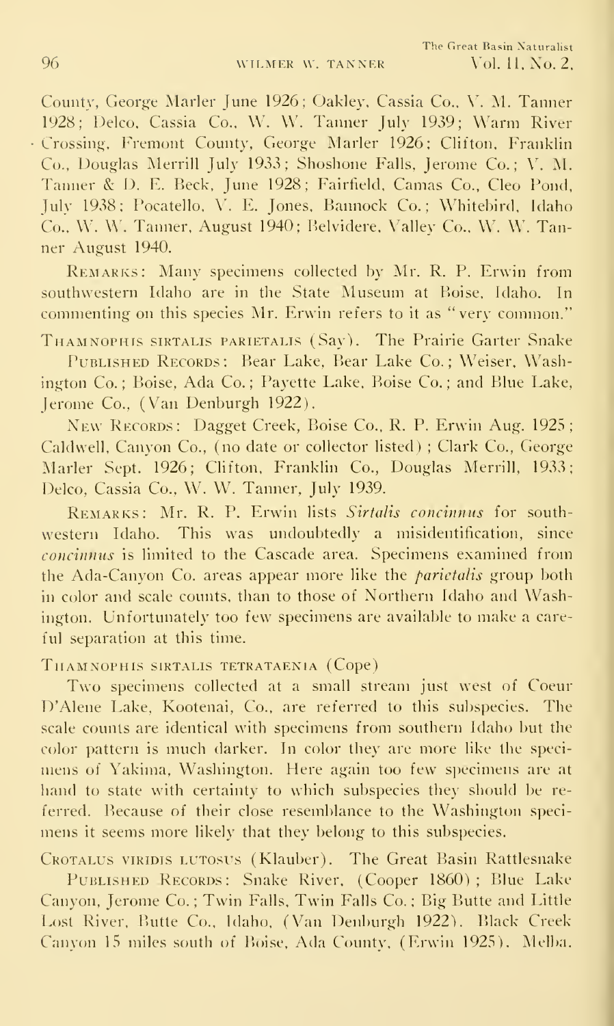County, George Marler June 1926; Oakley, Cassia Co., V. M. Tanner 1928; Delco, Cassia Co.. W. W. Tanner July 1939; Warm River Crossing, Fremont County, George Marler 1926; Clifton, Franklin Co., Douglas Merrill July 1933; Shoshone Falls, Jerome Co.; V. M. Tanner & D. E. Beck, June 1928; Fairtield, Camas Co., Cleo Pond. July 1938; Pocatello, V. E. Jones, Bannock Co.; Whitebird, Idaho Co., W. W. Tanner. August 1940; Belvidere. Valley Co.. W. W. Tanner August 1940.

Remarks: Many specimens collected by Mr. R. P. Erwin from southwestern Idaho are in the State Museum at Boise. Idaho. In commenting on this species Mr. Erwin refers to it as "very common."

Thamnophis sirtalis PARiETALis (Say). The Prairie Garter Snake Published Records: Bear Lake, Bear Lake Co.; Weiser, Washington Co.; Boise, Ada Co.; Payette Lake, Boise Co.; and Blue Lake, Jerome Co., (Van Denburgh 1922).

New Records: Dagget Creek, Boise Co., R. P. Erwin Aug. 1925; Caldwell, Canyon Co., (no date or collector listed) ; Clark Co., George Marler Sept. 1926; Clifton, Franklin Co., Douglas Merrill. 1933; Delco, Cassia Co., W. W. Tanner, July 1939.

REMARKS: Mr. R. P. Erwin lists Sirtalis concinnus for southwestern Idaho. This was undoubtedly a misidentification, since concinnus is limited to the Cascade area. Specimens examined from the Ada-Canyon Co. areas appear more like the *parietalis* group both in color and scale counts, than to those of Northern Idaho and Washington. Unfortunately too few specimens are available to make a careful separation at this time.

THAMNOPHIS SIRTALIS TETRATAENIA (Cope)

Two specimens collected at <sup>a</sup> small stream just west of Coeur D'Alene Lake, Kootenai, Co., are referred to this subspecies. The scale counts are identical with specimens from southern Idaho but the color pattern is much darker. In color they are more like the speci mens of Yakima, Washington. Here again too few specimens are at hand to state with certainty to which subspecies they should be re ferred. Because of their close resemblance to the Washington speci mens it seems more likely that they belong to this subspecies.

CROTALUS VIRIDIS LUTOSUS (Klauber). The Great Basin Rattlesnake PUBLISHED RECORDS: Snake River, (Cooper 1860); Blue Lake Canyon, Jerome Co. ; Twin Falls, Twin Falls Co. ; Big Butte and Little Lost River, Butte Co., Idaho, (Van Denburgh 1922). Black Creek Canyon 15 miles south of Boise, Ada County, (Erwin 1925). Melba.